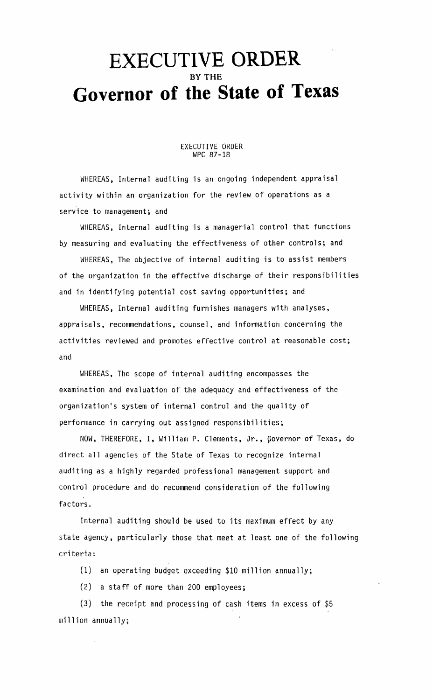## **EXECUTIVE ORDER** BY THE **Governor of the State of Texas**

## EXECUTIVE ORDER WPC 87-18

WHEREAS, Internal auditing is an ongoing independent appraisal activity within an organization for the review of operations as a service to management; and

WHEREAS, Internal auditing is a managerial control that functions by measuring and evaluating the effectiveness of other controls; and

WHEREAS, The objective of internal auditing is to assist members of the organization in the effective discharge of their responsibilities and in identifying potential cost saving opportunities; and

WHEREAS, Internal auditing furnishes managers with analyses, appraisals, recommendations, counsel, and information concerning the activities reviewed and promotes effective control at reasonable cost; and

WHEREAS, The scope of internal auditing encompasses the examination and evaluation of the adequacy and effectiveness of the organization's system of internal control and the quality of performance in carrying out assigned responsibilities;

NOW, THEREFORE, I, William P. Clements, Jr., Governor of Texas, do direct all agencies of the State of Texas to recognize internal auditing as a highly regarded professional management support and control procedure and do recommend consideration of the following factors.

Internal auditing should be used to its maximum effect by any state agency, particularly those that meet at least one of the following criteria:

(1) an operating budget exceeding \$10 million annually;

(2) a starf of more than 200 employees;

(3) the receipt and processing of cash items in excess of \$5 million annually;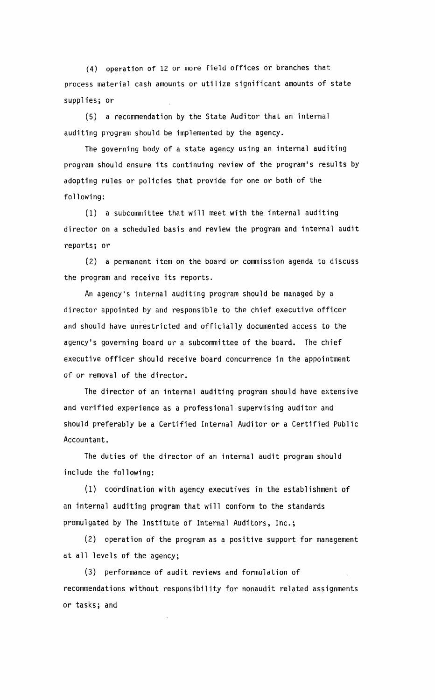(4) operation of 12 or more field offices or branches that process material cash amounts or utilize significant amounts of state supplies; or

(5) a recommendation by the State Auditor that an internal auditing program should be implemented by the agency.

The governing body of a state agency using an internal auditing program should ensure its continuing review of the program's results by adopting rules or policies that provide for one or both of the following:

(1) a subcommittee that will meet with the internal auditing director on a scheduled basis and review the program and internal audit reports; or

(2) a permanent item on the board or commission agenda to discuss the program and receive its reports.

An agency's internal auditing program should be managed by a director appointed by and responsible to the chief executive officer and should have unrestricted and officially documented access to the agency's governing board or a subcommittee of the board. The chief executive officer should receive board concurrence in the appointment of or removal of the director.

The director of an internal auditing program should have extensive and verified experience as a professional supervising auditor and should preferably be a Certified Internal Auditor or a Certified Public Accountant.

The duties of the director of an internal audit program should include the following:

(1) coordination with agency executives in the establishment of an internal auditing program that will conform to the standards promulgated by The Institute of Internal Auditors, Inc.;

(2) operation of the program as a positive support for management at all levels of the agency;

(3) performance of audit reviews and formulation of recommendations without responsibility for nonaudit related assignments or tasks; and